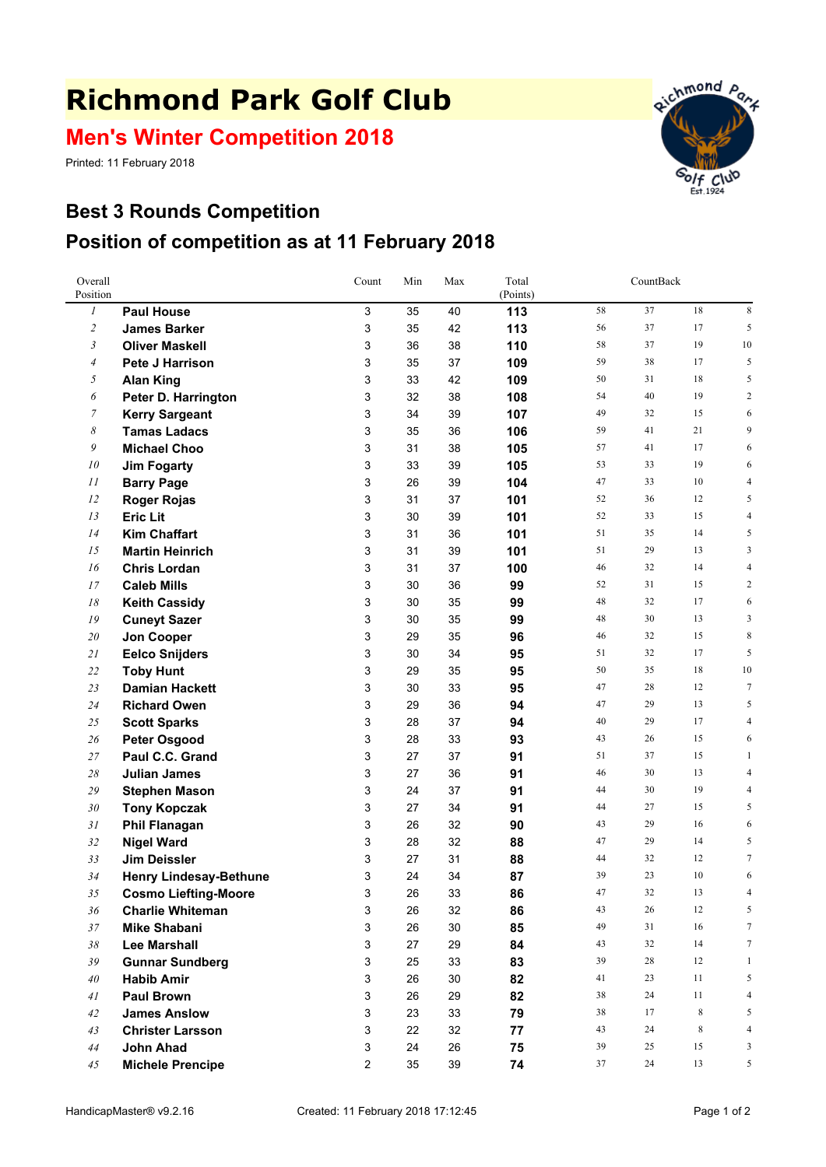## **Richmond Park Golf Club**

## **Men's Winter Competition 2018**

Printed: 11 February 2018



## **Best 3 Rounds Competition Position of competition as at 11 February 2018**

| Overall<br>Position |                                             | Count  | Min      | Max          | Total<br>(Points) | CountBack |          |          |                  |
|---------------------|---------------------------------------------|--------|----------|--------------|-------------------|-----------|----------|----------|------------------|
| $\boldsymbol{l}$    | <b>Paul House</b>                           | 3      | 35       | 40           | 113               | 58        | 37       | 18       | 8                |
| $\overline{c}$      | <b>James Barker</b>                         | 3      | 35       | 42           | 113               | 56        | 37       | 17       | 5                |
| 3                   | <b>Oliver Maskell</b>                       | 3      | 36       | 38           | 110               | 58        | 37       | 19       | $10\,$           |
| $\overline{4}$      | <b>Pete J Harrison</b>                      | 3      | 35       | 37           | 109               | 59        | 38       | 17       | 5                |
| 5                   | <b>Alan King</b>                            | 3      | 33       | 42           | 109               | 50        | 31       | 18       | 5                |
| 6                   | Peter D. Harrington                         | 3      | 32       | 38           | 108               | 54        | 40       | 19       | 2                |
| $\overline{7}$      | <b>Kerry Sargeant</b>                       | 3      | 34       | 39           | 107               | 49        | 32       | 15       | 6                |
| 8                   | <b>Tamas Ladacs</b>                         | 3      | 35       | 36           | 106               | 59        | 41       | 21       | 9                |
| 9                   | <b>Michael Choo</b>                         | 3      | 31       | 38           | 105               | 57        | 41       | 17       | 6                |
| ${\it 10}$          | <b>Jim Fogarty</b>                          | 3      | 33       | 39           | 105               | 53        | 33       | 19       | 6                |
| 11                  | <b>Barry Page</b>                           | 3      | 26       | 39           | 104               | 47        | 33       | 10       | $\overline{4}$   |
| 12                  | <b>Roger Rojas</b>                          | 3      | 31       | 37           | 101               | 52        | 36       | 12       | 5                |
| 13                  | <b>Eric Lit</b>                             | 3      | 30       | 39           | 101               | 52        | 33       | 15       | 4                |
| 14                  | <b>Kim Chaffart</b>                         | 3      | 31       | 36           | 101               | 51        | 35       | 14       | 5                |
| 15                  | <b>Martin Heinrich</b>                      | 3      | 31       | 39           | 101               | 51        | 29       | 13       | 3                |
| 16                  | <b>Chris Lordan</b>                         | 3      | 31       | 37           | 100               | 46        | 32       | 14       | 4                |
| 17                  | <b>Caleb Mills</b>                          | 3      | 30       | 36           | 99                | 52        | 31       | 15       | $\overline{c}$   |
| 18                  | <b>Keith Cassidy</b>                        | 3      | 30       | 35           | 99                | 48        | 32       | 17       | 6                |
| 19                  | <b>Cuneyt Sazer</b>                         | 3      | 30       | 35           | 99                | 48        | 30       | 13       | 3                |
| 20                  | Jon Cooper                                  | 3      | 29       | 35           | 96                | 46        | 32       | 15       | 8                |
| 21                  | <b>Eelco Snijders</b>                       | 3      | 30       | 34           | 95                | 51        | 32       | 17       | 5                |
| 22                  | <b>Toby Hunt</b>                            | 3      | 29       | 35           | 95                | 50        | 35       | 18       | 10               |
| 23                  | <b>Damian Hackett</b>                       | 3      | 30       | 33           | 95                | 47        | 28       | 12       | $\boldsymbol{7}$ |
| 24                  | <b>Richard Owen</b>                         | 3      | 29       | 36           | 94                | 47        | 29       | 13       | 5                |
| 25                  | <b>Scott Sparks</b>                         | 3      | 28       | 37           | 94                | 40        | 29       | 17       | 4                |
| 26                  | <b>Peter Osgood</b>                         | 3      | 28       | 33           | 93                | 43        | 26       | 15       | 6                |
| 27                  | Paul C.C. Grand                             | 3      | 27       | 37           | 91                | 51        | 37       | 15       | 1                |
| $28\,$              | <b>Julian James</b>                         | 3      | 27       | 36           | 91                | 46        | 30       | 13       | 4                |
| 29                  | <b>Stephen Mason</b>                        | 3      | 24       | 37           | 91                | 44        | 30       | 19       | 4                |
| 30                  | <b>Tony Kopczak</b>                         | 3      | 27       | 34           | 91                | 44        | 27       | 15       | 5                |
| 31                  | <b>Phil Flanagan</b>                        | 3      | 26       | 32           | 90                | 43        | 29       | 16       | 6                |
| 32                  | <b>Nigel Ward</b>                           | 3      | 28       | 32           | 88                | 47        | 29       | 14       | 5                |
| 33                  | Jim Deissler                                | 3      | 27       | 31           | 88                | 44        | 32       | 12       | $\tau$           |
| 34                  | <b>Henry Lindesay-Bethune</b>               | 3      | 24       | 34           | 87                | 39        | 23       | 10       | 6                |
| 35                  | <b>Cosmo Liefting-Moore</b>                 | 3      | 26       | 33           | 86                | 47        | 32       | 13       | 4                |
| 36                  | <b>Charlie Whiteman</b>                     | 3<br>3 | 26       | 32           | 86                | 43<br>49  | 26<br>31 | 12<br>16 | 5<br>$\tau$      |
| 37                  | <b>Mike Shabani</b>                         | 3      | 26<br>27 | 30           | 85                | 43        | 32       | 14       | $\tau$           |
| 38                  | Lee Marshall                                |        |          | 29           | 84                | 39        | 28       | 12       |                  |
| 39                  | <b>Gunnar Sundberg</b>                      | 3      | 25       | 33           | 83                |           | 23       |          | $\mathbf{1}$     |
| 40<br>41            | <b>Habib Amir</b>                           | 3<br>3 | 26<br>26 | $30\,$<br>29 | 82                | 41<br>38  | 24       | 11<br>11 | 5<br>4           |
|                     | <b>Paul Brown</b>                           | 3      | 23       | 33           | 82                | 38        | 17       | 8        | 5                |
| 42<br>43            | <b>James Anslow</b>                         | 3      | 22       | 32           | 79                | 43        | 24       | 8        | 4                |
| 44                  | <b>Christer Larsson</b><br><b>John Ahad</b> | 3      | 24       | 26           | 77<br>75          | 39        | 25       | 15       | 3                |
|                     |                                             | 2      | 35       | 39           |                   | 37        | 24       | 13       | 5                |
| 45                  | <b>Michele Prencipe</b>                     |        |          |              | 74                |           |          |          |                  |